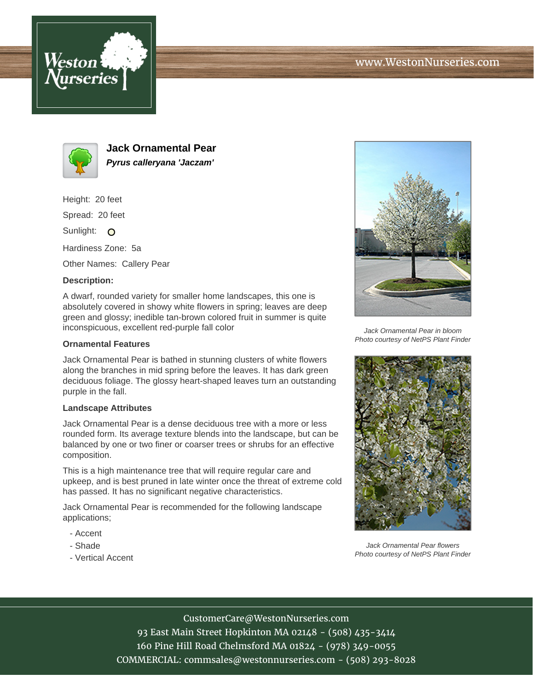



**Jack Ornamental Pear Pyrus calleryana 'Jaczam'**

Height: 20 feet

Spread: 20 feet

Sunlight: O

Hardiness Zone: 5a

Other Names: Callery Pear

# **Description:**

A dwarf, rounded variety for smaller home landscapes, this one is absolutely covered in showy white flowers in spring; leaves are deep green and glossy; inedible tan-brown colored fruit in summer is quite inconspicuous, excellent red-purple fall color

### **Ornamental Features**

Jack Ornamental Pear is bathed in stunning clusters of white flowers along the branches in mid spring before the leaves. It has dark green deciduous foliage. The glossy heart-shaped leaves turn an outstanding purple in the fall.

#### **Landscape Attributes**

Jack Ornamental Pear is a dense deciduous tree with a more or less rounded form. Its average texture blends into the landscape, but can be balanced by one or two finer or coarser trees or shrubs for an effective composition.

This is a high maintenance tree that will require regular care and upkeep, and is best pruned in late winter once the threat of extreme cold has passed. It has no significant negative characteristics.

Jack Ornamental Pear is recommended for the following landscape applications;

- Accent
- Shade
- Vertical Accent



Jack Ornamental Pear in bloom Photo courtesy of NetPS Plant Finder



Jack Ornamental Pear flowers Photo courtesy of NetPS Plant Finder

### CustomerCare@WestonNurseries.com

93 East Main Street Hopkinton MA 02148 - (508) 435-3414 160 Pine Hill Road Chelmsford MA 01824 - (978) 349-0055 COMMERCIAL: commsales@westonnurseries.com - (508) 293-8028